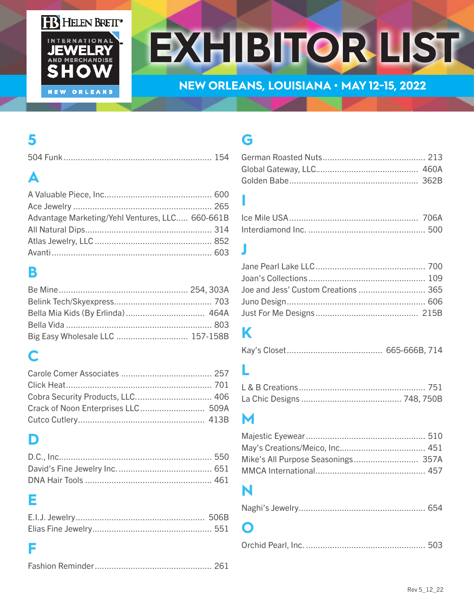

# **EXHIBITOR LIST**

#### **NEW ORLEANS, LOUISIANA • MAY 12-15, 2022**

## **5**

## **A**

| Advantage Marketing/Yehl Ventures, LLC 660-661B |  |
|-------------------------------------------------|--|
|                                                 |  |
|                                                 |  |
|                                                 |  |

#### **B**

## **C**

## **D**

#### **E**

#### **F**

|--|--|

## **G**

#### **I**

#### **J**

| Joe and Jess' Custom Creations  365 |  |
|-------------------------------------|--|
|                                     |  |
|                                     |  |

## **K**

## **L**

#### **M**

## **N**

|--|--|

#### **O**

|--|--|